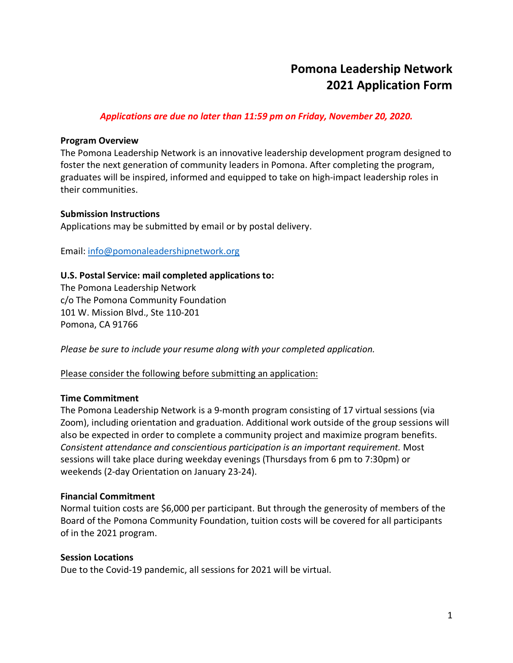# **Pomona Leadership Network 2021 Application Form**

## *Applications are due no later than 11:59 pm on Friday, November 20, 2020.*

#### **Program Overview**

The Pomona Leadership Network is an innovative leadership development program designed to foster the next generation of community leaders in Pomona. After completing the program, graduates will be inspired, informed and equipped to take on high-impact leadership roles in their communities.

#### **Submission Instructions**

Applications may be submitted by email or by postal delivery.

Email: info@pomonaleadershipnetwork.org

### **U.S. Postal Service: mail completed applications to:**

The Pomona Leadership Network c/o The Pomona Community Foundation 101 W. Mission Blvd., Ste 110-201 Pomona, CA 91766

*Please be sure to include your resume along with your completed application.* 

Please consider the following before submitting an application:

### **Time Commitment**

The Pomona Leadership Network is a 9-month program consisting of 17 virtual sessions (via Zoom), including orientation and graduation. Additional work outside of the group sessions will also be expected in order to complete a community project and maximize program benefits. *Consistent attendance and conscientious participation is an important requirement.* Most sessions will take place during weekday evenings (Thursdays from 6 pm to 7:30pm) or weekends (2-day Orientation on January 23-24).

### **Financial Commitment**

Normal tuition costs are \$6,000 per participant. But through the generosity of members of the Board of the Pomona Community Foundation, tuition costs will be covered for all participants of in the 2021 program.

#### **Session Locations**

Due to the Covid-19 pandemic, all sessions for 2021 will be virtual.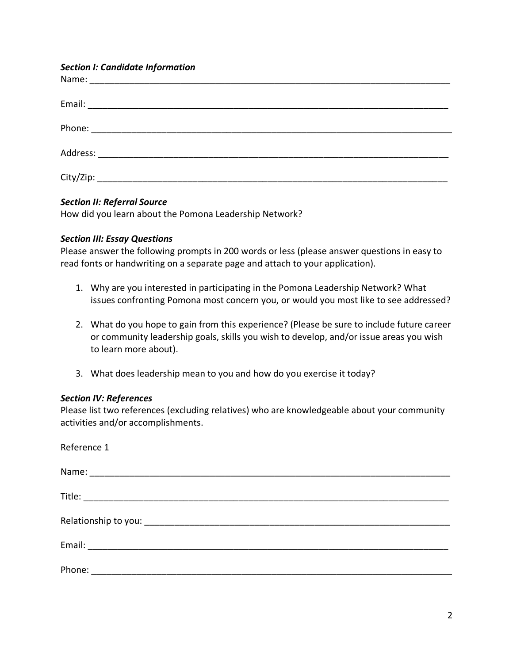#### *Section I: Candidate Information*

### *Section II: Referral Source*

How did you learn about the Pomona Leadership Network?

### *Section III: Essay Questions*

Please answer the following prompts in 200 words or less (please answer questions in easy to read fonts or handwriting on a separate page and attach to your application).

- 1. Why are you interested in participating in the Pomona Leadership Network? What issues confronting Pomona most concern you, or would you most like to see addressed?
- 2. What do you hope to gain from this experience? (Please be sure to include future career or community leadership goals, skills you wish to develop, and/or issue areas you wish to learn more about).
- 3. What does leadership mean to you and how do you exercise it today?

### *Section IV: References*

Please list two references (excluding relatives) who are knowledgeable about your community activities and/or accomplishments.

| Reference 1 |  |
|-------------|--|
|             |  |
|             |  |
|             |  |
|             |  |
|             |  |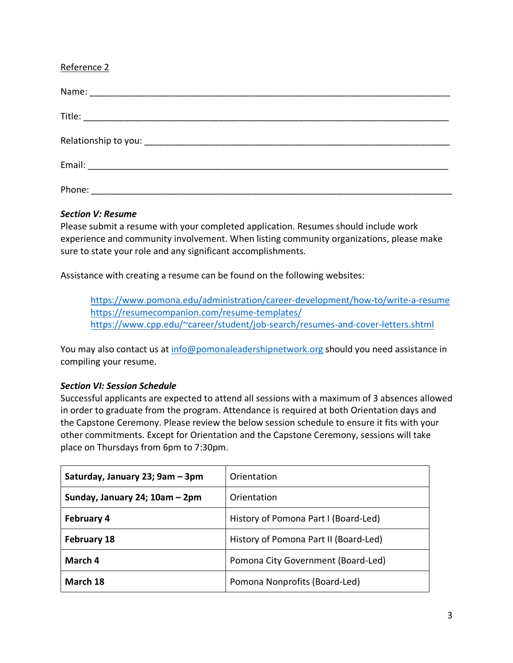## Reference 2

| Phone: |
|--------|

### *Section V: Resume*

Please submit a resume with your completed application. Resumes should include work experience and community involvement. When listing community organizations, please make sure to state your role and any significant accomplishments.

Assistance with creating a resume can be found on the following websites:

https://www.pomona.edu/administration/career-development/how-to/write-a-resume https://resumecompanion.com/resume-templates/ https://www.cpp.edu/~career/student/job-search/resumes-and-cover-letters.shtml

You may also contact us at info@pomonaleadershipnetwork.org should you need assistance in compiling your resume.

### *Section VI: Session Schedule*

Successful applicants are expected to attend all sessions with a maximum of 3 absences allowed in order to graduate from the program. Attendance is required at both Orientation days and the Capstone Ceremony. Please review the below session schedule to ensure it fits with your other commitments. Except for Orientation and the Capstone Ceremony, sessions will take place on Thursdays from 6pm to 7:30pm.

| Saturday, January 23; 9am – 3pm | Orientation                           |
|---------------------------------|---------------------------------------|
| Sunday, January 24; 10am - 2pm  | Orientation                           |
| <b>February 4</b>               | History of Pomona Part I (Board-Led)  |
| <b>February 18</b>              | History of Pomona Part II (Board-Led) |
| March 4                         | Pomona City Government (Board-Led)    |
| March 18                        | Pomona Nonprofits (Board-Led)         |